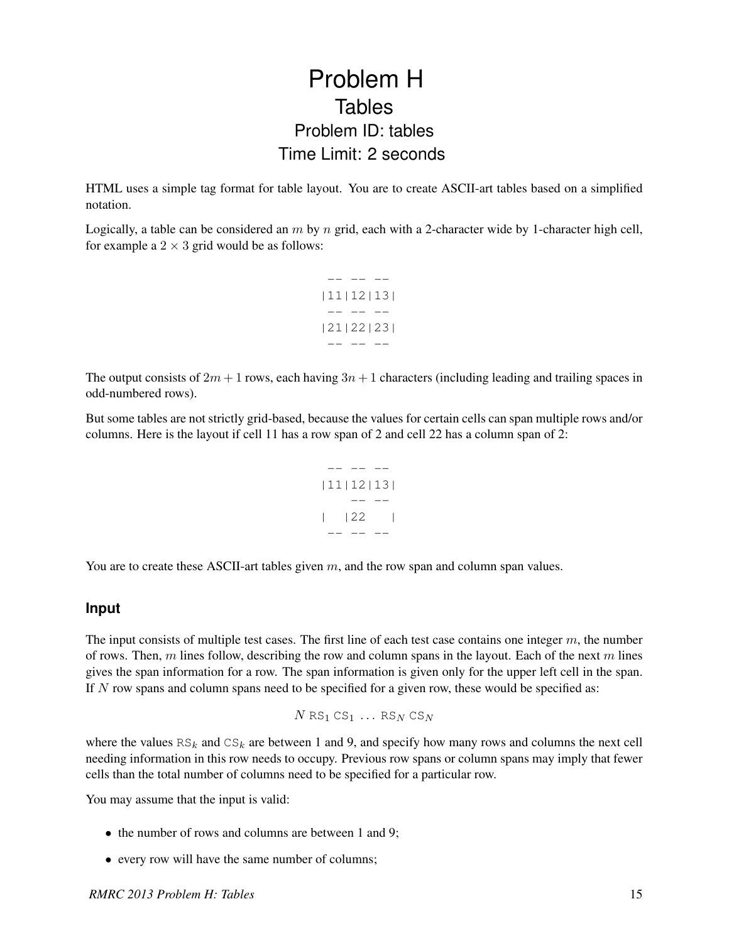## Problem H **Tables** Problem ID: tables Time Limit: 2 seconds

HTML uses a simple tag format for table layout. You are to create ASCII-art tables based on a simplified notation.

Logically, a table can be considered an  $m$  by  $n$  grid, each with a 2-character wide by 1-character high cell, for example a  $2 \times 3$  grid would be as follows:



The output consists of  $2m + 1$  rows, each having  $3n + 1$  characters (including leading and trailing spaces in odd-numbered rows).

But some tables are not strictly grid-based, because the values for certain cells can span multiple rows and/or columns. Here is the layout if cell 11 has a row span of 2 and cell 22 has a column span of 2:



You are to create these ASCII-art tables given  $m$ , and the row span and column span values.

## **Input**

The input consists of multiple test cases. The first line of each test case contains one integer  $m$ , the number of rows. Then, m lines follow, describing the row and column spans in the layout. Each of the next m lines gives the span information for a row. The span information is given only for the upper left cell in the span. If  $N$  row spans and column spans need to be specified for a given row, these would be specified as:

 $N$  RS<sub>1</sub> CS<sub>1</sub> ... RS<sub>N</sub> CS<sub>N</sub>

where the values  $RS_k$  and  $CS_k$  are between 1 and 9, and specify how many rows and columns the next cell needing information in this row needs to occupy. Previous row spans or column spans may imply that fewer cells than the total number of columns need to be specified for a particular row.

You may assume that the input is valid:

- the number of rows and columns are between 1 and 9;
- every row will have the same number of columns;